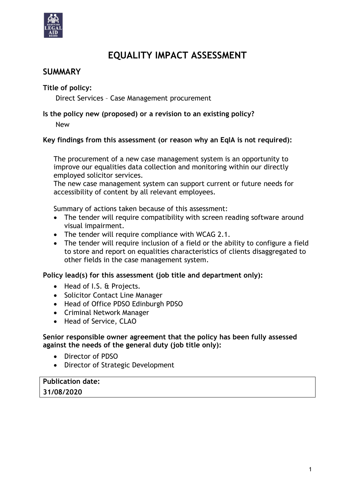

# **EQUALITY IMPACT ASSESSMENT**

## **SUMMARY**

**Title of policy:**

Direct Services – Case Management procurement

## **Is the policy new (proposed) or a revision to an existing policy?**

New

#### **Key findings from this assessment (or reason why an EqIA is not required):**

The procurement of a new case management system is an opportunity to improve our equalities data collection and monitoring within our directly employed solicitor services.

The new case management system can support current or future needs for accessibility of content by all relevant employees.

Summary of actions taken because of this assessment:

- The tender will require compatibility with screen reading software around visual impairment.
- The tender will require compliance with WCAG 2.1.
- The tender will require inclusion of a field or the ability to configure a field to store and report on equalities characteristics of clients disaggregated to other fields in the case management system.

**Policy lead(s) for this assessment (job title and department only):**

- Head of I.S. & Projects.
- Solicitor Contact Line Manager
- Head of Office PDSO Edinburgh PDSO
- Criminal Network Manager
- Head of Service, CLAO

#### **Senior responsible owner agreement that the policy has been fully assessed against the needs of the general duty (job title only):**

- Director of PDSO
- Director of Strategic Development

#### **Publication date: 31/08/2020**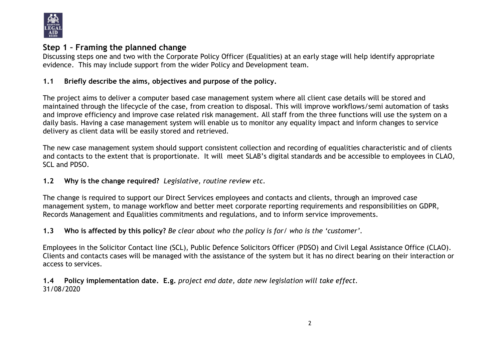

## **Step 1 – Framing the planned change**

Discussing steps one and two with the Corporate Policy Officer (Equalities) at an early stage will help identify appropriate evidence. This may include support from the wider Policy and Development team.

## **1.1 Briefly describe the aims, objectives and purpose of the policy.**

The project aims to deliver a computer based case management system where all client case details will be stored and maintained through the lifecycle of the case, from creation to disposal. This will improve workflows/semi automation of tasks and improve efficiency and improve case related risk management. All staff from the three functions will use the system on a daily basis. Having a case management system will enable us to monitor any equality impact and inform changes to service delivery as client data will be easily stored and retrieved.

The new case management system should support consistent collection and recording of equalities characteristic and of clients and contacts to the extent that is proportionate. It will meet SLAB's digital standards and be accessible to employees in CLAO, SCL and PDSO.

#### **1.2 Why is the change required?** *Legislative, routine review etc.*

The change is required to support our Direct Services employees and contacts and clients, through an improved case management system, to manage workflow and better meet corporate reporting requirements and responsibilities on GDPR, Records Management and Equalities commitments and regulations, and to inform service improvements.

**1.3 Who is affected by this policy?** *Be clear about who the policy is for/ who is the 'customer'.*

Employees in the Solicitor Contact line (SCL), Public Defence Solicitors Officer (PDSO) and Civil Legal Assistance Office (CLAO). Clients and contacts cases will be managed with the assistance of the system but it has no direct bearing on their interaction or access to services.

**1.4 Policy implementation date. E.g.** *project end date, date new legislation will take effect.* 31/08/2020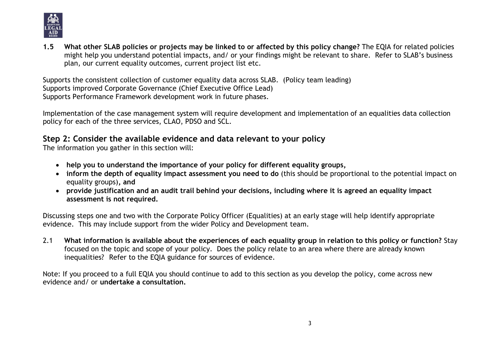

**1.5 What other SLAB policies or projects may be linked to or affected by this policy change?** The EQIA for related policies might help you understand potential impacts, and/ or your findings might be relevant to share. Refer to SLAB's business plan, our current equality outcomes, current project list etc.

Supports the consistent collection of customer equality data across SLAB. (Policy team leading) Supports improved Corporate Governance (Chief Executive Office Lead) Supports Performance Framework development work in future phases.

Implementation of the case management system will require development and implementation of an equalities data collection policy for each of the three services, CLAO, PDSO and SCL.

## **Step 2: Consider the available evidence and data relevant to your policy**

The information you gather in this section will:

- **help you to understand the importance of your policy for different equality groups,**
- **inform the depth of equality impact assessment you need to do** (this should be proportional to the potential impact on equality groups)**, and**
- **provide justification and an audit trail behind your decisions, including where it is agreed an equality impact assessment is not required.**

Discussing steps one and two with the Corporate Policy Officer (Equalities) at an early stage will help identify appropriate evidence. This may include support from the wider Policy and Development team.

2.1 **What information is available about the experiences of each equality group in relation to this policy or function?** Stay focused on the topic and scope of your policy. Does the policy relate to an area where there are already known inequalities? Refer to the EQIA guidance for sources of evidence.

Note: If you proceed to a full EQIA you should continue to add to this section as you develop the policy, come across new evidence and/ or **undertake a consultation.**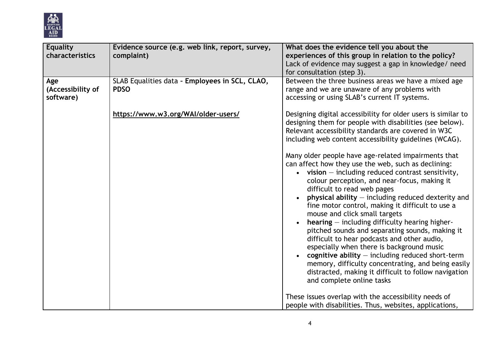

| <b>Equality</b><br>characteristics    | Evidence source (e.g. web link, report, survey,<br>complaint) | What does the evidence tell you about the<br>experiences of this group in relation to the policy?<br>Lack of evidence may suggest a gap in knowledge/ need<br>for consultation (step 3).                                                                                                                                                                                                                                                                                                                                                                                                                                                                                                                                                                                                                                                                                                                                                                                                                                                                                                                       |
|---------------------------------------|---------------------------------------------------------------|----------------------------------------------------------------------------------------------------------------------------------------------------------------------------------------------------------------------------------------------------------------------------------------------------------------------------------------------------------------------------------------------------------------------------------------------------------------------------------------------------------------------------------------------------------------------------------------------------------------------------------------------------------------------------------------------------------------------------------------------------------------------------------------------------------------------------------------------------------------------------------------------------------------------------------------------------------------------------------------------------------------------------------------------------------------------------------------------------------------|
| Age<br>(Accessibility of<br>software) | SLAB Equalities data - Employees in SCL, CLAO,<br><b>PDSO</b> | Between the three business areas we have a mixed age<br>range and we are unaware of any problems with<br>accessing or using SLAB's current IT systems.                                                                                                                                                                                                                                                                                                                                                                                                                                                                                                                                                                                                                                                                                                                                                                                                                                                                                                                                                         |
|                                       | https://www.w3.org/WAI/older-users/                           | Designing digital accessibility for older users is similar to<br>designing them for people with disabilities (see below).<br>Relevant accessibility standards are covered in W3C<br>including web content accessibility guidelines (WCAG).<br>Many older people have age-related impairments that<br>can affect how they use the web, such as declining:<br>$\bullet$ vision – including reduced contrast sensitivity,<br>colour perception, and near-focus, making it<br>difficult to read web pages<br>physical ability $-$ including reduced dexterity and<br>fine motor control, making it difficult to use a<br>mouse and click small targets<br>$hearing$ – including difficulty hearing higher-<br>pitched sounds and separating sounds, making it<br>difficult to hear podcasts and other audio,<br>especially when there is background music<br>cognitive ability $-$ including reduced short-term<br>memory, difficulty concentrating, and being easily<br>distracted, making it difficult to follow navigation<br>and complete online tasks<br>These issues overlap with the accessibility needs of |
|                                       |                                                               | people with disabilities. Thus, websites, applications,                                                                                                                                                                                                                                                                                                                                                                                                                                                                                                                                                                                                                                                                                                                                                                                                                                                                                                                                                                                                                                                        |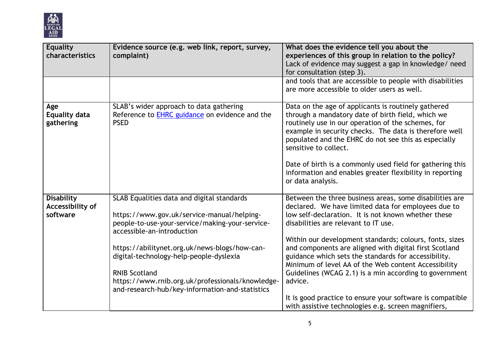

| <b>Equality</b><br>characteristics                | Evidence source (e.g. web link, report, survey,<br>complaint)                                                                                                                                                                                                                                                                                                                                        | What does the evidence tell you about the<br>experiences of this group in relation to the policy?<br>Lack of evidence may suggest a gap in knowledge/ need<br>for consultation (step 3).                                                                                                                                                                                                                                                                                                                                                                                             |
|---------------------------------------------------|------------------------------------------------------------------------------------------------------------------------------------------------------------------------------------------------------------------------------------------------------------------------------------------------------------------------------------------------------------------------------------------------------|--------------------------------------------------------------------------------------------------------------------------------------------------------------------------------------------------------------------------------------------------------------------------------------------------------------------------------------------------------------------------------------------------------------------------------------------------------------------------------------------------------------------------------------------------------------------------------------|
|                                                   |                                                                                                                                                                                                                                                                                                                                                                                                      | and tools that are accessible to people with disabilities<br>are more accessible to older users as well.                                                                                                                                                                                                                                                                                                                                                                                                                                                                             |
| Age<br><b>Equality data</b><br>gathering          | SLAB's wider approach to data gathering<br>Reference to EHRC guidance on evidence and the<br><b>PSED</b>                                                                                                                                                                                                                                                                                             | Data on the age of applicants is routinely gathered<br>through a mandatory date of birth field, which we<br>routinely use in our operation of the schemes, for<br>example in security checks. The data is therefore well<br>populated and the EHRC do not see this as especially<br>sensitive to collect.<br>Date of birth is a commonly used field for gathering this<br>information and enables greater flexibility in reporting<br>or data analysis.                                                                                                                              |
| <b>Disability</b><br>Accessibility of<br>software | SLAB Equalities data and digital standards<br>https://www.gov.uk/service-manual/helping-<br>people-to-use-your-service/making-your-service-<br>accessible-an-introduction<br>https://abilitynet.org.uk/news-blogs/how-can-<br>digital-technology-help-people-dyslexia<br><b>RNIB Scotland</b><br>https://www.rnib.org.uk/professionals/knowledge-<br>and-research-hub/key-information-and-statistics | Between the three business areas, some disabilities are<br>declared. We have limited data for employees due to<br>low self-declaration. It is not known whether these<br>disabilities are relevant to IT use.<br>Within our development standards; colours, fonts, sizes<br>and components are aligned with digital first Scotland<br>guidance which sets the standards for accessibility.<br>Minimum of level AA of the Web content Accessibility<br>Guidelines (WCAG 2.1) is a min according to government<br>advice.<br>It is good practice to ensure your software is compatible |
|                                                   |                                                                                                                                                                                                                                                                                                                                                                                                      | with assistive technologies e.g. screen magnifiers,                                                                                                                                                                                                                                                                                                                                                                                                                                                                                                                                  |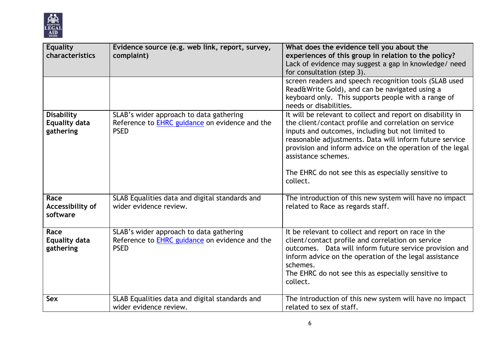

| <b>Equality</b><br>characteristics                     | Evidence source (e.g. web link, report, survey,<br>complaint)                                                   | What does the evidence tell you about the<br>experiences of this group in relation to the policy?<br>Lack of evidence may suggest a gap in knowledge/ need<br>for consultation (step 3).<br>screen readers and speech recognition tools (SLAB used                                                                                                                                         |
|--------------------------------------------------------|-----------------------------------------------------------------------------------------------------------------|--------------------------------------------------------------------------------------------------------------------------------------------------------------------------------------------------------------------------------------------------------------------------------------------------------------------------------------------------------------------------------------------|
|                                                        |                                                                                                                 | Read&Write Gold), and can be navigated using a<br>keyboard only. This supports people with a range of<br>needs or disabilities.                                                                                                                                                                                                                                                            |
| <b>Disability</b><br><b>Equality data</b><br>gathering | SLAB's wider approach to data gathering<br>Reference to <b>EHRC</b> guidance on evidence and the<br><b>PSED</b> | It will be relevant to collect and report on disability in<br>the client/contact profile and correlation on service<br>inputs and outcomes, including but not limited to<br>reasonable adjustments. Data will inform future service<br>provision and inform advice on the operation of the legal<br>assistance schemes.<br>The EHRC do not see this as especially sensitive to<br>collect. |
| Race<br>Accessibility of<br>software                   | SLAB Equalities data and digital standards and<br>wider evidence review.                                        | The introduction of this new system will have no impact<br>related to Race as regards staff.                                                                                                                                                                                                                                                                                               |
| Race<br><b>Equality data</b><br>gathering              | SLAB's wider approach to data gathering<br>Reference to EHRC guidance on evidence and the<br><b>PSED</b>        | It be relevant to collect and report on race in the<br>client/contact profile and correlation on service<br>outcomes. Data will inform future service provision and<br>inform advice on the operation of the legal assistance<br>schemes.<br>The EHRC do not see this as especially sensitive to<br>collect.                                                                               |
| <b>Sex</b>                                             | SLAB Equalities data and digital standards and<br>wider evidence review.                                        | The introduction of this new system will have no impact<br>related to sex of staff.                                                                                                                                                                                                                                                                                                        |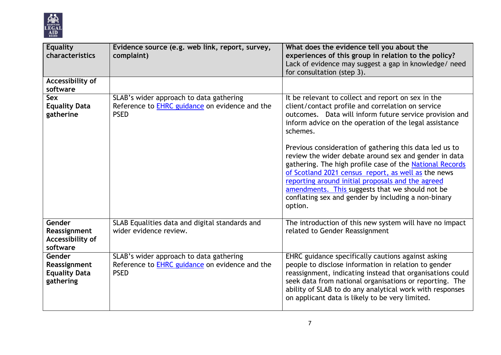

| <b>Equality</b><br>characteristics                          | Evidence source (e.g. web link, report, survey,<br>complaint)                                                   | What does the evidence tell you about the<br>experiences of this group in relation to the policy?<br>Lack of evidence may suggest a gap in knowledge/ need<br>for consultation (step 3).                                                                                                                                                                                                                      |
|-------------------------------------------------------------|-----------------------------------------------------------------------------------------------------------------|---------------------------------------------------------------------------------------------------------------------------------------------------------------------------------------------------------------------------------------------------------------------------------------------------------------------------------------------------------------------------------------------------------------|
| Accessibility of<br>software                                |                                                                                                                 |                                                                                                                                                                                                                                                                                                                                                                                                               |
| <b>Sex</b><br><b>Equality Data</b><br>gatherine             | SLAB's wider approach to data gathering<br>Reference to <b>EHRC</b> guidance on evidence and the<br><b>PSED</b> | It be relevant to collect and report on sex in the<br>client/contact profile and correlation on service<br>outcomes. Data will inform future service provision and<br>inform advice on the operation of the legal assistance<br>schemes.                                                                                                                                                                      |
|                                                             |                                                                                                                 | Previous consideration of gathering this data led us to<br>review the wider debate around sex and gender in data<br>gathering. The high profile case of the National Records<br>of Scotland 2021 census report, as well as the news<br>reporting around initial proposals and the agreed<br>amendments. This suggests that we should not be<br>conflating sex and gender by including a non-binary<br>option. |
| Gender<br>Reassignment<br>Accessibility of<br>software      | SLAB Equalities data and digital standards and<br>wider evidence review.                                        | The introduction of this new system will have no impact<br>related to Gender Reassignment                                                                                                                                                                                                                                                                                                                     |
| Gender<br>Reassignment<br><b>Equality Data</b><br>gathering | SLAB's wider approach to data gathering<br>Reference to <b>EHRC</b> guidance on evidence and the<br><b>PSED</b> | EHRC guidance specifically cautions against asking<br>people to disclose information in relation to gender<br>reassignment, indicating instead that organisations could<br>seek data from national organisations or reporting. The<br>ability of SLAB to do any analytical work with responses<br>on applicant data is likely to be very limited.                                                             |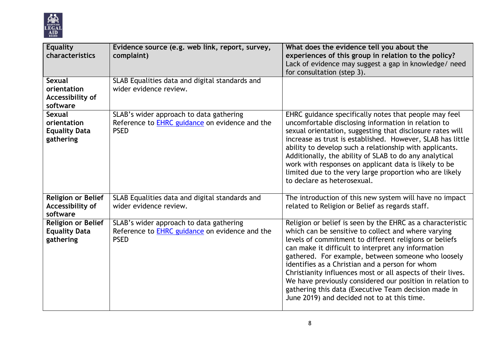

| <b>Equality</b><br>characteristics                                | Evidence source (e.g. web link, report, survey,<br>complaint)                                                   | What does the evidence tell you about the<br>experiences of this group in relation to the policy?<br>Lack of evidence may suggest a gap in knowledge/ need<br>for consultation (step 3).                                                                                                                                                                                                                                                                                                                                                                                      |
|-------------------------------------------------------------------|-----------------------------------------------------------------------------------------------------------------|-------------------------------------------------------------------------------------------------------------------------------------------------------------------------------------------------------------------------------------------------------------------------------------------------------------------------------------------------------------------------------------------------------------------------------------------------------------------------------------------------------------------------------------------------------------------------------|
| <b>Sexual</b><br>orientation<br>Accessibility of<br>software      | SLAB Equalities data and digital standards and<br>wider evidence review.                                        |                                                                                                                                                                                                                                                                                                                                                                                                                                                                                                                                                                               |
| <b>Sexual</b><br>orientation<br><b>Equality Data</b><br>gathering | SLAB's wider approach to data gathering<br>Reference to EHRC guidance on evidence and the<br><b>PSED</b>        | EHRC guidance specifically notes that people may feel<br>uncomfortable disclosing information in relation to<br>sexual orientation, suggesting that disclosure rates will<br>increase as trust is established. However, SLAB has little<br>ability to develop such a relationship with applicants.<br>Additionally, the ability of SLAB to do any analytical<br>work with responses on applicant data is likely to be<br>limited due to the very large proportion who are likely<br>to declare as heterosexual.                                                               |
| <b>Religion or Belief</b><br>Accessibility of<br>software         | SLAB Equalities data and digital standards and<br>wider evidence review.                                        | The introduction of this new system will have no impact<br>related to Religion or Belief as regards staff.                                                                                                                                                                                                                                                                                                                                                                                                                                                                    |
| <b>Religion or Belief</b><br><b>Equality Data</b><br>gathering    | SLAB's wider approach to data gathering<br>Reference to <b>EHRC</b> guidance on evidence and the<br><b>PSED</b> | Religion or belief is seen by the EHRC as a characteristic<br>which can be sensitive to collect and where varying<br>levels of commitment to different religions or beliefs<br>can make it difficult to interpret any information<br>gathered. For example, between someone who loosely<br>identifies as a Christian and a person for whom<br>Christianity influences most or all aspects of their lives.<br>We have previously considered our position in relation to<br>gathering this data (Executive Team decision made in<br>June 2019) and decided not to at this time. |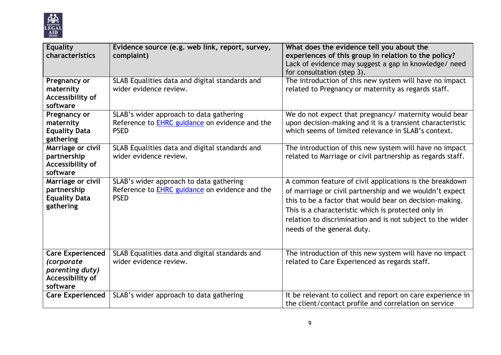

| <b>Equality</b><br>characteristics                                                       | Evidence source (e.g. web link, report, survey,<br>complaint)                                                   | What does the evidence tell you about the<br>experiences of this group in relation to the policy?<br>Lack of evidence may suggest a gap in knowledge/ need<br>for consultation (step 3).                                                                                                                                         |
|------------------------------------------------------------------------------------------|-----------------------------------------------------------------------------------------------------------------|----------------------------------------------------------------------------------------------------------------------------------------------------------------------------------------------------------------------------------------------------------------------------------------------------------------------------------|
| Pregnancy or<br>maternity<br>Accessibility of<br>software                                | SLAB Equalities data and digital standards and<br>wider evidence review.                                        | The introduction of this new system will have no impact<br>related to Pregnancy or maternity as regards staff.                                                                                                                                                                                                                   |
| Pregnancy or<br>maternity<br><b>Equality Data</b><br>gathering                           | SLAB's wider approach to data gathering<br>Reference to <b>EHRC</b> guidance on evidence and the<br><b>PSED</b> | We do not expect that pregnancy/ maternity would bear<br>upon decision-making and it is a transient characteristic<br>which seems of limited relevance in SLAB's context.                                                                                                                                                        |
| Marriage or civil<br>partnership<br>Accessibility of<br>software                         | SLAB Equalities data and digital standards and<br>wider evidence review.                                        | The introduction of this new system will have no impact<br>related to Marriage or civil partnership as regards staff.                                                                                                                                                                                                            |
| Marriage or civil<br>partnership<br><b>Equality Data</b><br>gathering                    | SLAB's wider approach to data gathering<br>Reference to <b>EHRC</b> guidance on evidence and the<br><b>PSED</b> | A common feature of civil applications is the breakdown<br>of marriage or civil partnership and we wouldn't expect<br>this to be a factor that would bear on decision-making.<br>This is a characteristic which is protected only in<br>relation to discrimination and is not subject to the wider<br>needs of the general duty. |
| <b>Care Experienced</b><br>(corporate<br>parenting duty)<br>Accessibility of<br>software | SLAB Equalities data and digital standards and<br>wider evidence review.                                        | The introduction of this new system will have no impact<br>related to Care Experienced as regards staff.                                                                                                                                                                                                                         |
| <b>Care Experienced</b>                                                                  | SLAB's wider approach to data gathering                                                                         | It be relevant to collect and report on care experience in<br>the client/contact profile and correlation on service                                                                                                                                                                                                              |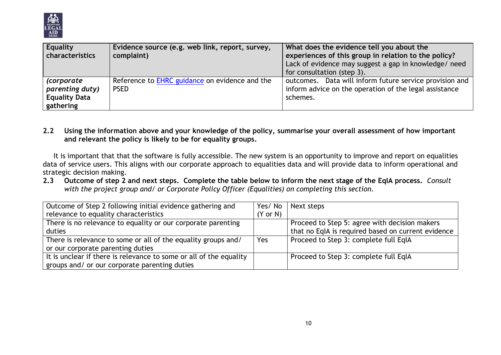

| <b>Equality</b><br>characteristics                                        | Evidence source (e.g. web link, report, survey,<br>complaint) | What does the evidence tell you about the<br>experiences of this group in relation to the policy?<br>Lack of evidence may suggest a gap in knowledge/ need<br>for consultation (step 3). |
|---------------------------------------------------------------------------|---------------------------------------------------------------|------------------------------------------------------------------------------------------------------------------------------------------------------------------------------------------|
| <i>(corporate</i><br>parenting duty)<br><b>Equality Data</b><br>gathering | Reference to EHRC guidance on evidence and the<br><b>PSED</b> | outcomes. Data will inform future service provision and<br>inform advice on the operation of the legal assistance<br>schemes.                                                            |

#### **2.2 Using the information above and your knowledge of the policy, summarise your overall assessment of how important and relevant the policy is likely to be for equality groups.**

It is important that that the software is fully accessible. The new system is an opportunity to improve and report on equalities data of service users. This aligns with our corporate approach to equalities data and will provide data to inform operational and strategic decision making.

**2.3 Outcome of step 2 and next steps. Complete the table below to inform the next stage of the EqIA process.** *Consult with the project group and/ or Corporate Policy Officer (Equalities) on completing this section.*

| Outcome of Step 2 following initial evidence gathering and         | Yes/No              | Next steps                                         |
|--------------------------------------------------------------------|---------------------|----------------------------------------------------|
| relevance to equality characteristics                              | $(Y \text{ or } N)$ |                                                    |
| There is no relevance to equality or our corporate parenting       |                     | Proceed to Step 5: agree with decision makers      |
| duties                                                             |                     | that no EqIA is required based on current evidence |
| There is relevance to some or all of the equality groups and/      | Yes                 | Proceed to Step 3: complete full EqIA              |
| or our corporate parenting duties                                  |                     |                                                    |
| It is unclear if there is relevance to some or all of the equality |                     | Proceed to Step 3: complete full EqIA              |
| groups and/ or our corporate parenting duties                      |                     |                                                    |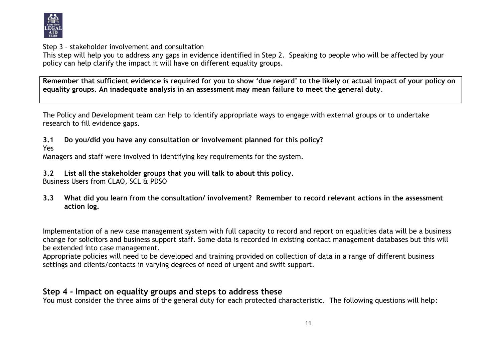

Step 3 – stakeholder involvement and consultation

This step will help you to address any gaps in evidence identified in Step 2. Speaking to people who will be affected by your policy can help clarify the impact it will have on different equality groups.

**Remember that sufficient evidence is required for you to show 'due regard' to the likely or actual impact of your policy on equality groups. An inadequate analysis in an assessment may mean failure to meet the general duty**.

The Policy and Development team can help to identify appropriate ways to engage with external groups or to undertake research to fill evidence gaps.

- **3.1 Do you/did you have any consultation or involvement planned for this policy?**
- Yes

Managers and staff were involved in identifying key requirements for the system.

**3.2 List all the stakeholder groups that you will talk to about this policy.** 

Business Users from CLAO, SCL & PDSO

**3.3 What did you learn from the consultation/ involvement? Remember to record relevant actions in the assessment action log.**

Implementation of a new case management system with full capacity to record and report on equalities data will be a business change for solicitors and business support staff. Some data is recorded in existing contact management databases but this will be extended into case management.

Appropriate policies will need to be developed and training provided on collection of data in a range of different business settings and clients/contacts in varying degrees of need of urgent and swift support.

# **Step 4 - Impact on equality groups and steps to address these**

You must consider the three aims of the general duty for each protected characteristic. The following questions will help: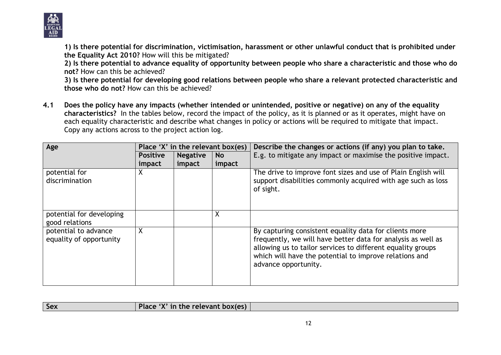

**1) Is there potential for discrimination, victimisation, harassment or other unlawful conduct that is prohibited under the Equality Act 2010?** How will this be mitigated?

**2) Is there potential to advance equality of opportunity between people who share a characteristic and those who do not?** How can this be achieved?

**3) Is there potential for developing good relations between people who share a relevant protected characteristic and those who do not?** How can this be achieved?

**4.1 Does the policy have any impacts (whether intended or unintended, positive or negative) on any of the equality characteristics?** In the tables below, record the impact of the policy, as it is planned or as it operates, might have on each equality characteristic and describe what changes in policy or actions will be required to mitigate that impact. Copy any actions across to the project action log.

| Age                                             | Place 'X' in the relevant box(es) |                 |           | Describe the changes or actions (if any) you plan to take.                                                                                                                                                                                                              |
|-------------------------------------------------|-----------------------------------|-----------------|-----------|-------------------------------------------------------------------------------------------------------------------------------------------------------------------------------------------------------------------------------------------------------------------------|
|                                                 | <b>Positive</b>                   | <b>Negative</b> | <b>No</b> | E.g. to mitigate any impact or maximise the positive impact.                                                                                                                                                                                                            |
|                                                 | impact                            | impact          | impact    |                                                                                                                                                                                                                                                                         |
| potential for<br>discrimination                 | X                                 |                 |           | The drive to improve font sizes and use of Plain English will<br>support disabilities commonly acquired with age such as loss<br>of sight.                                                                                                                              |
| potential for developing<br>good relations      |                                   |                 | χ         |                                                                                                                                                                                                                                                                         |
| potential to advance<br>equality of opportunity | X                                 |                 |           | By capturing consistent equality data for clients more<br>frequently, we will have better data for analysis as well as<br>allowing us to tailor services to different equality groups<br>which will have the potential to improve relations and<br>advance opportunity. |

| Sex | $\setminus$ 'X' in the relevant box(es)<br>Place ') |  |
|-----|-----------------------------------------------------|--|
|     |                                                     |  |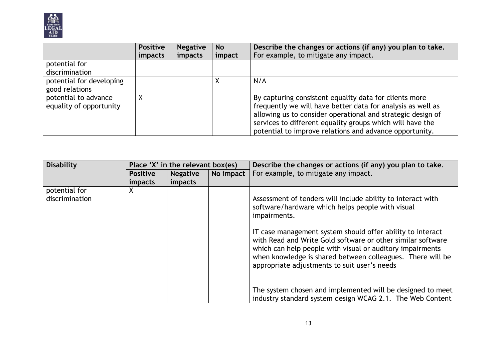

|                          | <b>Positive</b> | <b>Negative</b> | <b>No</b> | Describe the changes or actions (if any) you plan to take.  |
|--------------------------|-----------------|-----------------|-----------|-------------------------------------------------------------|
|                          | <i>impacts</i>  | impacts         | impact    | For example, to mitigate any impact.                        |
| potential for            |                 |                 |           |                                                             |
| discrimination           |                 |                 |           |                                                             |
| potential for developing |                 |                 |           | N/A                                                         |
| good relations           |                 |                 |           |                                                             |
| potential to advance     |                 |                 |           | By capturing consistent equality data for clients more      |
| equality of opportunity  |                 |                 |           | frequently we will have better data for analysis as well as |
|                          |                 |                 |           | allowing us to consider operational and strategic design of |
|                          |                 |                 |           | services to different equality groups which will have the   |
|                          |                 |                 |           | potential to improve relations and advance opportunity.     |

| <b>Disability</b>               | Place 'X' in the relevant box(es) |                 |           | Describe the changes or actions (if any) you plan to take.                                                                                                                                                                                                                                           |
|---------------------------------|-----------------------------------|-----------------|-----------|------------------------------------------------------------------------------------------------------------------------------------------------------------------------------------------------------------------------------------------------------------------------------------------------------|
|                                 | <b>Positive</b>                   | <b>Negative</b> | No impact | For example, to mitigate any impact.                                                                                                                                                                                                                                                                 |
|                                 | impacts                           | impacts         |           |                                                                                                                                                                                                                                                                                                      |
| potential for<br>discrimination | X.                                |                 |           | Assessment of tenders will include ability to interact with<br>software/hardware which helps people with visual                                                                                                                                                                                      |
|                                 |                                   |                 |           | impairments.                                                                                                                                                                                                                                                                                         |
|                                 |                                   |                 |           | IT case management system should offer ability to interact<br>with Read and Write Gold software or other similar software<br>which can help people with visual or auditory impairments<br>when knowledge is shared between colleagues. There will be<br>appropriate adjustments to suit user's needs |
|                                 |                                   |                 |           | The system chosen and implemented will be designed to meet<br>industry standard system design WCAG 2.1. The Web Content                                                                                                                                                                              |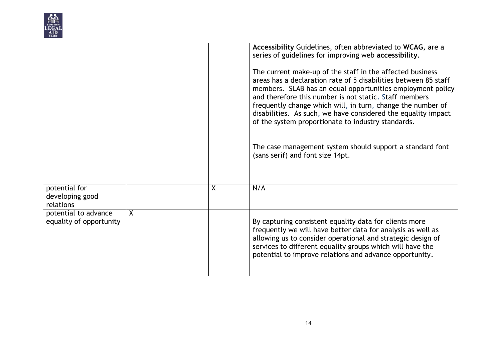

|                                                 |         |         | Accessibility Guidelines, often abbreviated to WCAG, are a<br>series of guidelines for improving web accessibility.<br>The current make-up of the staff in the affected business<br>areas has a declaration rate of 5 disabilities between 85 staff<br>members. SLAB has an equal opportunities employment policy<br>and therefore this number is not static. Staff members<br>frequently change which will, in turn, change the number of<br>disabilities. As such, we have considered the equality impact<br>of the system proportionate to industry standards.<br>The case management system should support a standard font<br>(sans serif) and font size 14pt. |
|-------------------------------------------------|---------|---------|--------------------------------------------------------------------------------------------------------------------------------------------------------------------------------------------------------------------------------------------------------------------------------------------------------------------------------------------------------------------------------------------------------------------------------------------------------------------------------------------------------------------------------------------------------------------------------------------------------------------------------------------------------------------|
| potential for<br>developing good<br>relations   |         | $\sf X$ | N/A                                                                                                                                                                                                                                                                                                                                                                                                                                                                                                                                                                                                                                                                |
| potential to advance<br>equality of opportunity | $\sf X$ |         | By capturing consistent equality data for clients more<br>frequently we will have better data for analysis as well as<br>allowing us to consider operational and strategic design of<br>services to different equality groups which will have the<br>potential to improve relations and advance opportunity.                                                                                                                                                                                                                                                                                                                                                       |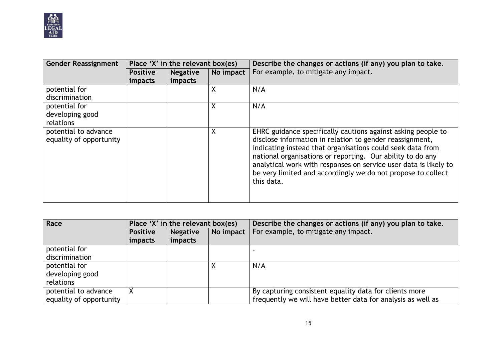

| <b>Gender Reassignment</b>                      | Place 'X' in the relevant box(es) |                 |           | Describe the changes or actions (if any) you plan to take.                                                                                                                                                                                                                                                                                                                                             |
|-------------------------------------------------|-----------------------------------|-----------------|-----------|--------------------------------------------------------------------------------------------------------------------------------------------------------------------------------------------------------------------------------------------------------------------------------------------------------------------------------------------------------------------------------------------------------|
|                                                 | <b>Positive</b>                   | <b>Negative</b> | No impact | For example, to mitigate any impact.                                                                                                                                                                                                                                                                                                                                                                   |
|                                                 | <i>impacts</i>                    | impacts         |           |                                                                                                                                                                                                                                                                                                                                                                                                        |
| potential for                                   |                                   |                 | Χ         | N/A                                                                                                                                                                                                                                                                                                                                                                                                    |
| discrimination                                  |                                   |                 |           |                                                                                                                                                                                                                                                                                                                                                                                                        |
| potential for                                   |                                   |                 | Χ         | N/A                                                                                                                                                                                                                                                                                                                                                                                                    |
| developing good                                 |                                   |                 |           |                                                                                                                                                                                                                                                                                                                                                                                                        |
| relations                                       |                                   |                 |           |                                                                                                                                                                                                                                                                                                                                                                                                        |
| potential to advance<br>equality of opportunity |                                   |                 | χ         | EHRC guidance specifically cautions against asking people to<br>disclose information in relation to gender reassignment,<br>indicating instead that organisations could seek data from<br>national organisations or reporting. Our ability to do any<br>analytical work with responses on service user data is likely to<br>be very limited and accordingly we do not propose to collect<br>this data. |

| Race                    | Place 'X' in the relevant box(es) |                 |           | Describe the changes or actions (if any) you plan to take.  |
|-------------------------|-----------------------------------|-----------------|-----------|-------------------------------------------------------------|
|                         | <b>Positive</b>                   | <b>Negative</b> | No impact | For example, to mitigate any impact.                        |
|                         | impacts                           | impacts         |           |                                                             |
| potential for           |                                   |                 |           |                                                             |
| discrimination          |                                   |                 |           |                                                             |
| potential for           |                                   |                 |           | N/A                                                         |
| developing good         |                                   |                 |           |                                                             |
| relations               |                                   |                 |           |                                                             |
| potential to advance    | Χ                                 |                 |           | By capturing consistent equality data for clients more      |
| equality of opportunity |                                   |                 |           | frequently we will have better data for analysis as well as |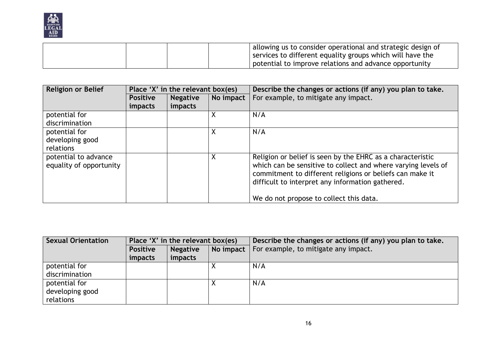

|  | allowing us to consider operational and strategic design of |
|--|-------------------------------------------------------------|
|  | services to different equality groups which will have the   |
|  | potential to improve relations and advance opportunity      |

| <b>Religion or Belief</b>                       | Place 'X' in the relevant box(es) |                 |           | Describe the changes or actions (if any) you plan to take.                                                                                                                                                                                  |
|-------------------------------------------------|-----------------------------------|-----------------|-----------|---------------------------------------------------------------------------------------------------------------------------------------------------------------------------------------------------------------------------------------------|
|                                                 | <b>Positive</b>                   | <b>Negative</b> | No impact | For example, to mitigate any impact.                                                                                                                                                                                                        |
|                                                 | <i>impacts</i>                    | impacts         |           |                                                                                                                                                                                                                                             |
| potential for                                   |                                   |                 | X         | N/A                                                                                                                                                                                                                                         |
| discrimination                                  |                                   |                 |           |                                                                                                                                                                                                                                             |
| potential for                                   |                                   |                 | χ         | N/A                                                                                                                                                                                                                                         |
| developing good                                 |                                   |                 |           |                                                                                                                                                                                                                                             |
| relations                                       |                                   |                 |           |                                                                                                                                                                                                                                             |
| potential to advance<br>equality of opportunity |                                   |                 | χ         | Religion or belief is seen by the EHRC as a characteristic<br>which can be sensitive to collect and where varying levels of<br>commitment to different religions or beliefs can make it<br>difficult to interpret any information gathered. |
|                                                 |                                   |                 |           | We do not propose to collect this data.                                                                                                                                                                                                     |

| Sexual Orientation | Place 'X' in the relevant box(es) |                 |           | Describe the changes or actions (if any) you plan to take. |
|--------------------|-----------------------------------|-----------------|-----------|------------------------------------------------------------|
|                    | <b>Positive</b>                   | <b>Negative</b> | No impact | For example, to mitigate any impact.                       |
|                    | impacts                           | impacts         |           |                                                            |
| potential for      |                                   |                 |           | N/A                                                        |
| discrimination     |                                   |                 |           |                                                            |
| potential for      |                                   |                 |           | N/A                                                        |
| developing good    |                                   |                 |           |                                                            |
| relations          |                                   |                 |           |                                                            |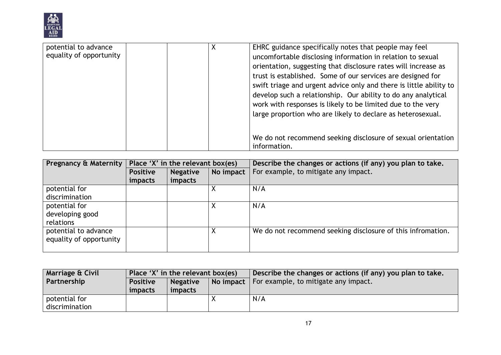

| potential to advance<br>equality of opportunity |  | EHRC guidance specifically notes that people may feel<br>uncomfortable disclosing information in relation to sexual<br>orientation, suggesting that disclosure rates will increase as<br>trust is established. Some of our services are designed for<br>swift triage and urgent advice only and there is little ability to<br>develop such a relationship. Our ability to do any analytical<br>work with responses is likely to be limited due to the very<br>large proportion who are likely to declare as heterosexual. |
|-------------------------------------------------|--|---------------------------------------------------------------------------------------------------------------------------------------------------------------------------------------------------------------------------------------------------------------------------------------------------------------------------------------------------------------------------------------------------------------------------------------------------------------------------------------------------------------------------|
|                                                 |  | We do not recommend seeking disclosure of sexual orientation<br>information.                                                                                                                                                                                                                                                                                                                                                                                                                                              |

| <b>Pregnancy &amp; Maternity</b> | Place 'X' in the relevant box(es) |                 |           | Describe the changes or actions (if any) you plan to take.  |
|----------------------------------|-----------------------------------|-----------------|-----------|-------------------------------------------------------------|
|                                  | <b>Positive</b>                   | <b>Negative</b> | No impact | For example, to mitigate any impact.                        |
|                                  | <i>impacts</i>                    | impacts         |           |                                                             |
| potential for                    |                                   |                 |           | N/A                                                         |
| discrimination                   |                                   |                 |           |                                                             |
| potential for                    |                                   |                 | Χ         | N/A                                                         |
| developing good                  |                                   |                 |           |                                                             |
| relations                        |                                   |                 |           |                                                             |
| potential to advance             |                                   |                 | Χ         | We do not recommend seeking disclosure of this infromation. |
| equality of opportunity          |                                   |                 |           |                                                             |
|                                  |                                   |                 |           |                                                             |

| <b>Marriage &amp; Civil</b> | Place 'X' in the relevant box(es) |                 |  | Describe the changes or actions (if any) you plan to take. |
|-----------------------------|-----------------------------------|-----------------|--|------------------------------------------------------------|
| Partnership                 | <b>Positive</b>                   | <b>Negative</b> |  | No impact   For example, to mitigate any impact.           |
|                             | impacts                           | impacts         |  |                                                            |
| potential for               |                                   |                 |  | N/A                                                        |
| discrimination              |                                   |                 |  |                                                            |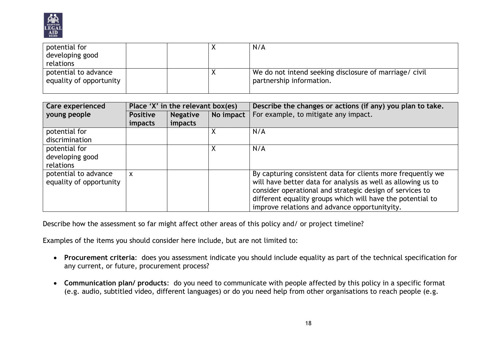

| potential for<br>developing good                |  | N/A                                                                                |
|-------------------------------------------------|--|------------------------------------------------------------------------------------|
| relations                                       |  |                                                                                    |
| potential to advance<br>equality of opportunity |  | We do not intend seeking disclosure of marriage/ civil<br>partnership information. |

| Care experienced        | Place 'X' in the relevant box(es) |                 |           | Describe the changes or actions (if any) you plan to take.   |
|-------------------------|-----------------------------------|-----------------|-----------|--------------------------------------------------------------|
| young people            | <b>Positive</b>                   | <b>Negative</b> | No impact | For example, to mitigate any impact.                         |
|                         | impacts                           | impacts         |           |                                                              |
| potential for           |                                   |                 | Χ         | N/A                                                          |
| discrimination          |                                   |                 |           |                                                              |
| potential for           |                                   |                 | Χ         | N/A                                                          |
| developing good         |                                   |                 |           |                                                              |
| relations               |                                   |                 |           |                                                              |
| potential to advance    | $\boldsymbol{\mathsf{x}}$         |                 |           | By capturing consistent data for clients more frequently we  |
| equality of opportunity |                                   |                 |           | will have better data for analysis as well as allowing us to |
|                         |                                   |                 |           | consider operational and strategic design of services to     |
|                         |                                   |                 |           | different equality groups which will have the potential to   |
|                         |                                   |                 |           | improve relations and advance opportunityity.                |

Describe how the assessment so far might affect other areas of this policy and/ or project timeline?

Examples of the items you should consider here include, but are not limited to:

- **Procurement criteria**: does you assessment indicate you should include equality as part of the technical specification for any current, or future, procurement process?
- **Communication plan/ products**: do you need to communicate with people affected by this policy in a specific format (e.g. audio, subtitled video, different languages) or do you need help from other organisations to reach people (e.g.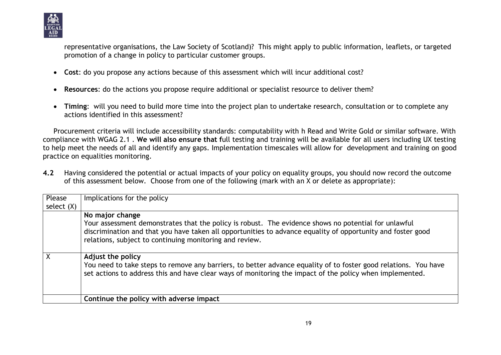

representative organisations, the Law Society of Scotland)? This might apply to public information, leaflets, or targeted promotion of a change in policy to particular customer groups.

- **Cost**: do you propose any actions because of this assessment which will incur additional cost?
- **Resources**: do the actions you propose require additional or specialist resource to deliver them?
- **Timing**: will you need to build more time into the project plan to undertake research, consultation or to complete any actions identified in this assessment?

Procurement criteria will include accessibility standards: computability with h Read and Write Gold or similar software. With compliance with WGAG 2.1 . **We will also ensure that f**ull testing and training will be available for all users including UX testing to help meet the needs of all and identify any gaps. Implementation timescales will allow for development and training on good practice on equalities monitoring.

**4.2** Having considered the potential or actual impacts of your policy on equality groups, you should now record the outcome of this assessment below. Choose from one of the following (mark with an X or delete as appropriate):

| Please       | Implications for the policy                                                                                                                                                                                                                                                    |
|--------------|--------------------------------------------------------------------------------------------------------------------------------------------------------------------------------------------------------------------------------------------------------------------------------|
| select $(X)$ |                                                                                                                                                                                                                                                                                |
|              | No major change                                                                                                                                                                                                                                                                |
|              | Your assessment demonstrates that the policy is robust. The evidence shows no potential for unlawful<br>discrimination and that you have taken all opportunities to advance equality of opportunity and foster good<br>relations, subject to continuing monitoring and review. |
|              | Adjust the policy                                                                                                                                                                                                                                                              |
|              | You need to take steps to remove any barriers, to better advance equality of to foster good relations. You have<br>set actions to address this and have clear ways of monitoring the impact of the policy when implemented.                                                    |
|              | Continue the policy with adverse impact                                                                                                                                                                                                                                        |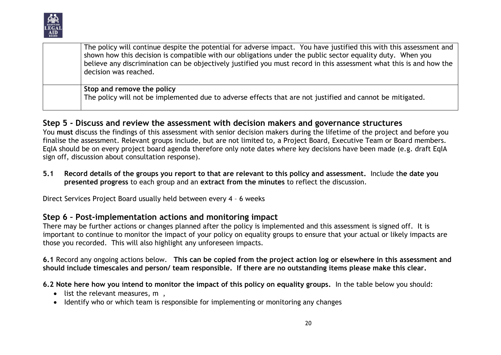

|  | The policy will continue despite the potential for adverse impact. You have justified this with this assessment and<br>shown how this decision is compatible with our obligations under the public sector equality duty. When you<br>believe any discrimination can be objectively justified you must record in this assessment what this is and how the<br>decision was reached. |
|--|-----------------------------------------------------------------------------------------------------------------------------------------------------------------------------------------------------------------------------------------------------------------------------------------------------------------------------------------------------------------------------------|
|  | Stop and remove the policy<br>The policy will not be implemented due to adverse effects that are not justified and cannot be mitigated.                                                                                                                                                                                                                                           |

## **Step 5 - Discuss and review the assessment with decision makers and governance structures**

You **must** discuss the findings of this assessment with senior decision makers during the lifetime of the project and before you finalise the assessment. Relevant groups include, but are not limited to, a Project Board, Executive Team or Board members. EqIA should be on every project board agenda therefore only note dates where key decisions have been made (e.g. draft EqIA sign off, discussion about consultation response).

**5.1 Record details of the groups you report to that are relevant to this policy and assessment.** Include t**he date you presented progress** to each group and an **extract from the minutes** to reflect the discussion.

Direct Services Project Board usually held between every 4 – 6 weeks

## **Step 6 – Post-implementation actions and monitoring impact**

There may be further actions or changes planned after the policy is implemented and this assessment is signed off. It is important to continue to monitor the impact of your policy on equality groups to ensure that your actual or likely impacts are those you recorded. This will also highlight any unforeseen impacts.

**6.1** Record any ongoing actions below. **This can be copied from the project action log or elsewhere in this assessment and should include timescales and person/ team responsible. If there are no outstanding items please make this clear.**

**6.2 Note here how you intend to monitor the impact of this policy on equality groups.** In the table below you should:

- $\bullet$  list the relevant measures, m,
- Identify who or which team is responsible for implementing or monitoring any changes